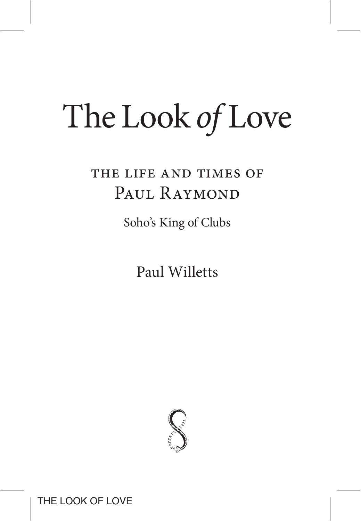# The Look of Love

## THE LIFE AND TIMES OF PAUL RAYMOND

Soho's King of Clubs

Paul Willetts

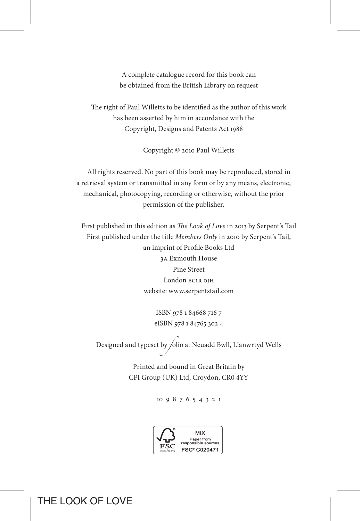A complete catalogue record for this book can be obtained from the British Library on request

The right of Paul Willetts to be identified as the author of this work has been asserted by him in accordance with the Copyright, Designs and Patents Act 1988

Copyright © 2010 Paul Willetts

All rights reserved. No part of this book may be reproduced, stored in a retrieval system or transmitted in any form or by any means, electronic, mechanical, photocopying, recording or otherwise, without the prior permission of the publisher.

First published in this edition as The Look of Love in 2013 by Serpent's Tail First published under the title Members Only in 2010 by Serpent's Tail, an imprint of Profile Books Ltd 3A Exmouth House Pine Street London EC1R OIH website: www.serpentstail.com

> ISBN 978 1846687167 eISBN 978 184765 3024

Designed and typeset by *folio* at Neuadd Bwll, Llanwrtyd Wells

Printed and bound in Great Britain by CPI Group (UK) Ltd, Croydon, CR0 4YY

10 9 8 7 6 5 4 3 2 1

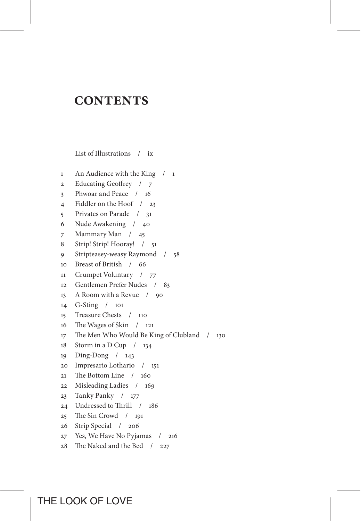#### **CONTENTS**

List of Illustrations / ix

An Audience with the King  $/1$  $\mathbf{1}$ Educating Geoffrey / 7  $\overline{2}$ Phwoar and Peace / 16  $\mathbf{3}$ Fiddler on the Hoof / 23  $\overline{4}$ Privates on Parade / 31  $5^{\circ}$ Nude Awakening / 40 6 Mammary Man / 45  $\overline{7}$ Strip! Strip! Hooray! / 51 8 Stripteasey-weasy Raymond / 58  $\overline{Q}$ Breast of British / 66  $10<sup>1</sup>$ Crumpet Voluntary / 77  $11$ Gentlemen Prefer Nudes / 83  $12<sub>2</sub>$ A Room with a Revue / 90  $13$  $G-String$  / 101  $14$ Treasure Chests / 110  $15<sup>15</sup>$ The Wages of Skin / 121  $16<sup>1</sup>$  $17<sup>7</sup>$ The Men Who Would Be King of Clubland / 130 Storm in a D Cup  $/134$ 18 Ding-Dong  $/143$ 19 Impresario Lothario / 151 20 The Bottom Line  $/160$  $21$ Misleading Ladies / 169  $2.2.$ Tanky Panky / 177  $23$  $24$ Undressed to Thrill / 186 The Sin Crowd / 191  $25$ 26 Strip Special / 206 Yes, We Have No Pyjamas / 216  $27$ The Naked and the Bed / 227 28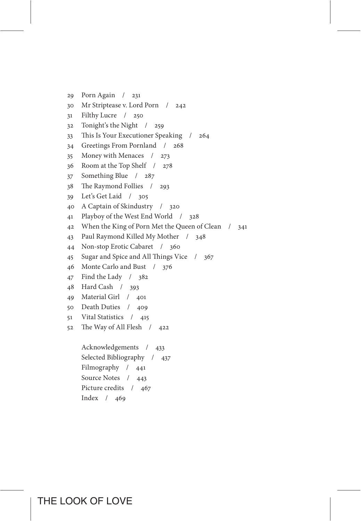Porn Again / 29 231  $30<sup>°</sup>$ Mr Striptease v. Lord Porn / 242 Filthy Lucre / 250  $31$ Tonight's the Night / 259  $32$ This Is Your Executioner Speaking /  $33$ 264 Greetings From Pornland / 268 34 Money with Menaces / 273  $35$ Room at the Top Shelf / 278 36 Something Blue / 287 37 The Raymond Follies / 293 38 Let's Get Laid / 305 39 A Captain of Skindustry / 320 40 Playboy of the West End World / 328 41 When the King of Porn Met the Queen of Clean / 341  $\Delta$ <sub>2</sub> Paul Raymond Killed My Mother / 348 43 Non-stop Erotic Cabaret / 360  $44$ Sugar and Spice and All Things Vice / 367 45 Monte Carlo and Bust / 376  $46$ Find the Lady / 382 47 Hard Cash / 393  $\Delta$ <sup>8</sup> Material Girl / 401 49 Death Duties / 409  $50<sub>o</sub>$ Vital Statistics / 415  $51$ The Way of All Flesh / 422  $52$ Acknowledgements / 433 Selected Bibliography / 437 Filmography / 441 Source Notes / 443

Picture credits / 467

Index / 469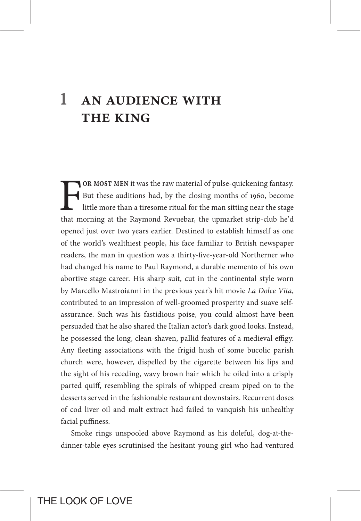#### 1 **AN AUDIENCE WITH THE KING**

OR MOST MEN it was the raw material of pulse-quickening fantasy. But these auditions had, by the closing months of 1960, become little more than a tiresome ritual for the man sitting near the stage that morning at the Raymond Revuebar, the upmarket strip-club he'd opened just over two years earlier. Destined to establish himself as one of the world's wealthiest people, his face familiar to British newspaper readers, the man in question was a thirty-five-year-old Northerner who had changed his name to Paul Raymond, a durable memento of his own abortive stage career. His sharp suit, cut in the continental style worn by Marcello Mastroianni in the previous year's hit movie La Dolce Vita, contributed to an impression of well-groomed prosperity and suave selfassurance. Such was his fastidious poise, you could almost have been persuaded that he also shared the Italian actor's dark good looks. Instead, he possessed the long, clean-shaven, pallid features of a medieval effigy. Any fleeting associations with the frigid hush of some bucolic parish church were, however, dispelled by the cigarette between his lips and the sight of his receding, wavy brown hair which he oiled into a crisply parted quiff, resembling the spirals of whipped cream piped on to the desserts served in the fashionable restaurant downstairs. Recurrent doses of cod liver oil and malt extract had failed to vanguish his unhealthy facial puffiness.

Smoke rings unspooled above Raymond as his doleful, dog-at-thedinner-table eyes scrutinised the hesitant young girl who had ventured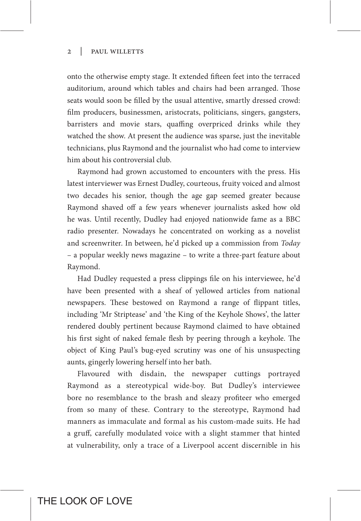onto the otherwise empty stage. It extended fifteen feet into the terraced auditorium, around which tables and chairs had been arranged. Those seats would soon be filled by the usual attentive, smartly dressed crowd: film producers, businessmen, aristocrats, politicians, singers, gangsters, barristers and movie stars, quaffing overpriced drinks while they watched the show. At present the audience was sparse, just the inevitable technicians, plus Raymond and the journalist who had come to interview him about his controversial club.

Raymond had grown accustomed to encounters with the press. His latest interviewer was Ernest Dudley, courteous, fruity voiced and almost two decades his senior, though the age gap seemed greater because Raymond shaved off a few years whenever journalists asked how old he was. Until recently, Dudley had enjoyed nationwide fame as a BBC radio presenter. Nowadays he concentrated on working as a novelist and screenwriter. In between, he'd picked up a commission from *Today* – a popular weekly news magazine – to write a three-part feature about Raymond.

Had Dudley requested a press clippings file on his interviewee, he'd have been presented with a sheaf of yellowed articles from national newspapers. These bestowed on Raymond a range of flippant titles, including 'Mr Striptease' and 'the King of the Keyhole Shows', the latter rendered doubly pertinent because Raymond claimed to have obtained his first sight of naked female flesh by peering through a keyhole. The object of King Paul's bug-eyed scrutiny was one of his unsuspecting aunts, gingerly lowering herself into her bath.

Flavoured with disdain, the newspaper cuttings portrayed Raymond as a stereotypical wide-boy. But Dudley's interviewee bore no resemblance to the brash and sleazy profiteer who emerged from so many of these. Contrary to the stereotype, Raymond had manners as immaculate and formal as his custom-made suits. He had a gruff, carefully modulated voice with a slight stammer that hinted at vulnerability, only a trace of a Liverpool accent discernible in his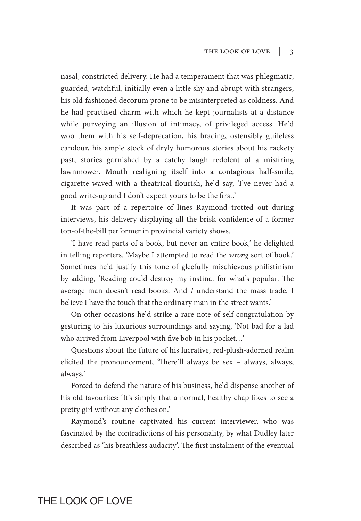nasal, constricted delivery. He had a temperament that was phlegmatic, guarded, watchful, initially even a little shy and abrupt with strangers, his old-fashioned decorum prone to be misinterpreted as coldness. And he had practised charm with which he kept journalists at a distance while purveying an illusion of intimacy, of privileged access. He'd woo them with his self-deprecation, his bracing, ostensibly guileless candour, his ample stock of dryly humorous stories about his rackety past, stories garnished by a catchy laugh redolent of a misfiring lawnmower. Mouth realigning itself into a contagious half-smile, cigarette waved with a theatrical flourish, he'd say, 'I've never had a good write-up and I don't expect yours to be the first.'

It was part of a repertoire of lines Raymond trotted out during interviews, his delivery displaying all the brisk confidence of a former top-of-the-bill performer in provincial variety shows.

'I have read parts of a book, but never an entire book,' he delighted in telling reporters. 'Maybe I attempted to read the *wrong* sort of book.' Sometimes he'd justify this tone of gleefully mischievous philistinism by adding, 'Reading could destroy my instinct for what's popular. The average man doesn't read books. And *I* understand the mass trade. I believe I have the touch that the ordinary man in the street wants.'

On other occasions he'd strike a rare note of self-congratulation by gesturing to his luxurious surroundings and saying, 'Not bad for a lad who arrived from Liverpool with five bob in his pocket...'

Questions about the future of his lucrative, red-plush-adorned realm elicited the pronouncement, 'There'll always be sex – always, always, always.'

Forced to defend the nature of his business, he'd dispense another of his old favourites: 'It's simply that a normal, healthy chap likes to see a pretty girl without any clothes on.'

Raymond's routine captivated his current interviewer, who was fascinated by the contradictions of his personality, by what Dudley later described as 'his breathless audacity'. The first instalment of the eventual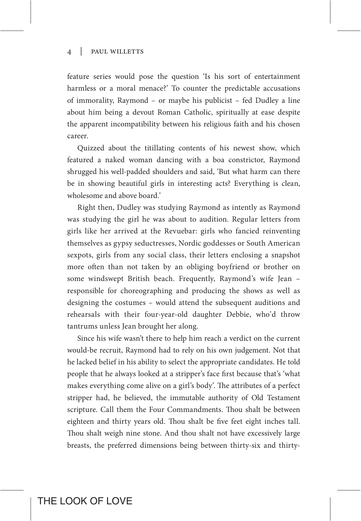feature series would pose the question 'Is his sort of entertainment harmless or a moral menace?' To counter the predictable accusations of immorality, Raymond – or maybe his publicist – fed Dudley a line about him being a devout Roman Catholic, spiritually at ease despite the apparent incompatibility between his religious faith and his chosen career.

Quizzed about the titillating contents of his newest show, which featured a naked woman dancing with a boa constrictor, Raymond shrugged his well-padded shoulders and said, 'But what harm can there be in showing beautiful girls in interesting acts? Everything is clean, wholesome and above board.'

Right then, Dudley was studying Raymond as intently as Raymond was studying the girl he was about to audition. Regular letters from girls like her arrived at the Revuebar: girls who fancied reinventing themselves as gypsy seductresses, Nordic goddesses or South American sexpots, girls from any social class, their letters enclosing a snapshot more often than not taken by an obliging boyfriend or brother on some windswept British beach. Frequently, Raymond's wife Jean – responsible for choreographing and producing the shows as well as designing the costumes–would attend the subsequent auditions and rehearsals with their four-year-old daughter Debbie, who'd throw tantrums unless Jean brought her along.

Since his wife wasn't there to help him reach a verdict on the current would-be recruit, Raymond had to rely on his own judgement. Not that he lacked belief in his ability to select the appropriate candidates. He told people that he always looked at a stripper's face first because that's 'what makes everything come alive on a girl's body'. The attributes of a perfect stripper had, he believed, the immutable authority of Old Testament scripture. Call them the Four Commandments. Thou shalt be between eighteen and thirty years old. Thou shalt be five feet eight inches tall. Thou shalt weigh nine stone. And thou shalt not have excessively large breasts, the preferred dimensions being between thirty-six and thirty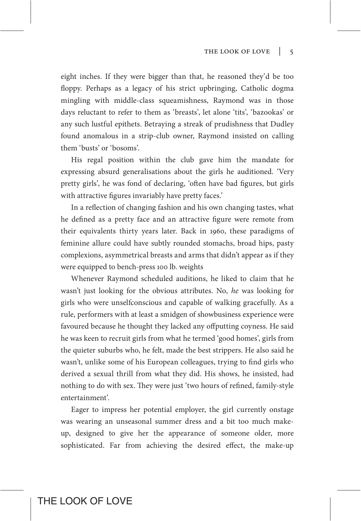eight inches. If they were bigger than that, he reasoned they'd be too floppy. Perhaps as a legacy of his strict upbringing, Catholic dogma mingling with middle-class squeamishness, Raymond was in those days reluctant to refer to them as 'breasts', let alone 'tits', 'bazookas' or any such lustful epithets. Betraying a streak of prudishness that Dudley found anomalous in a strip-club owner, Raymond insisted on calling them 'busts' or 'bosoms'.

His regal position within the club gave him the mandate for expressing absurd generalisations about the girls he auditioned. 'Very pretty girls', he was fond of declaring, 'often have bad figures, but girls with attractive figures invariably have pretty faces.'

In a reflection of changing fashion and his own changing tastes, what he defined as a pretty face and an attractive figure were remote from their equivalents thirty years later. Back in 1960, these paradigms of feminine allure could have subtly rounded stomachs, broad hips, pasty complexions, asymmetrical breasts and arms that didn't appear as if they were equipped to bench-press 100 lb. weights

Whenever Raymond scheduled auditions, he liked to claim that he wasn't just looking for the obvious attributes. No, he was looking for girls who were unselfconscious and capable of walking gracefully. As a rule, performers with at least a smidgen of showbusiness experience were favoured because he thought they lacked any offputting coyness. He said he was keen to recruit girls from what he termed 'good homes', girls from the quieter suburbs who, he felt, made the best strippers. He also said he wasn't, unlike some of his European colleagues, trying to find girls who derived a sexual thrill from what they did. His shows, he insisted, had nothing to do with sex. They were just 'two hours of refined, family-style entertainment'.

Eager to impress her potential employer, the girl currently onstage was wearing an unseasonal summer dress and a bit too much makeup, designed to give her the appearance of someone older, more sophisticated. Far from achieving the desired effect, the make-up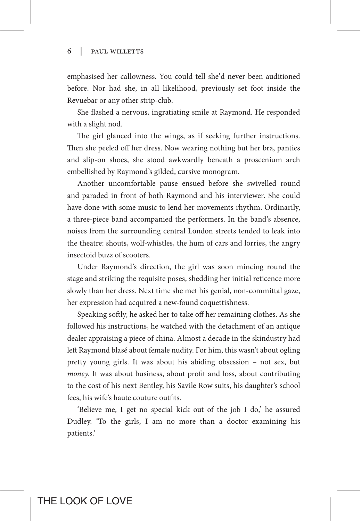emphasised her callowness. You could tell she'd never been auditioned before. Nor had she, in all likelihood, previously set foot inside the Revuebar or any other strip-club.

She flashed a nervous, ingratiating smile at Raymond. He responded with a slight nod.

The girl glanced into the wings, as if seeking further instructions. Then she peeled off her dress. Now wearing nothing but her bra, panties and slip-on shoes, she stood awkwardly beneath a proscenium arch embellished by Raymond's gilded, cursive monogram.

Another uncomfortable pause ensued before she swivelled round and paraded in front of both Raymond and his interviewer. She could have done with some music to lend her movements rhythm. Ordinarily, a three-piece band accompanied the performers. In the band's absence, noises from the surrounding central London streets tended to leak into the theatre: shouts, wolf-whistles, the hum of cars and lorries, the angry insectoid buzz of scooters.

Under Raymond's direction, the girl was soon mincing round the stage and striking the requisite poses, shedding her initial reticence more slowly than her dress. Next time she met his genial, non-committal gaze, her expression had acquired a new-found coquettishness.

Speaking softly, he asked her to take off her remaining clothes. As she followed his instructions, he watched with the detachment of an antique dealer appraising a piece of china. Almost a decade in the skindustry had left Raymond blasé about female nudity. For him, this wasn't about ogling pretty young girls. It was about his abiding obsession – not sex, but *money*. It was about business, about profit and loss, about contributing to the cost of his next Bentley, his Savile Row suits, his daughter's school fees, his wife's haute couture outfits.

'Believe me, I get no special kick out of the job I do,' he assured Dudley. 'To the girls, I am no more than a doctor examining his patients.'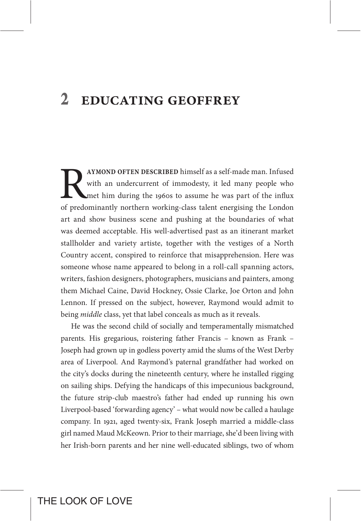### **2 Educating Geoffrey**

**AYMOND OFTEN DESCRIBED** himself as a self-made man. Infused with an undercurrent of immodesty, it led many people who met him during the 1960s to assume he was part of the influx of predominantly northern working-class ta with an undercurrent of immodesty, it led many people who met him during the 1960s to assume he was part of the influx of predominantly northern working-class talent energising the London art and show business scene and pushing at the boundaries of what was deemed acceptable. His well-advertised past as an itinerant market stallholder and variety artiste, together with the vestiges of a North Country accent, conspired to reinforce that misapprehension. Here was someone whose name appeared to belong in a roll-call spanning actors, writers, fashion designers, photographers, musicians and painters, among them Michael Caine, David Hockney, Ossie Clarke, Joe Orton and John Lennon. If pressed on the subject, however, Raymond would admit to being *middle* class, yet that label conceals as much as it reveals.

He was the second child of socially and temperamentally mismatched parents. His gregarious, roistering father Francis - known as Frank -Joseph had grown up in godless poverty amid the slums of the West Derby area of Liverpool. And Raymond's paternal grandfather had worked on the city's docks during the nineteenth century, where he installed rigging on sailing ships. Defying the handicaps of this impecunious background, the future strip-club maestro's father had ended up running his own Liverpool-based 'forwarding agency' – what would now be called a haulage company. In 1921, aged twenty-six, Frank Joseph married a middle-class girl named Maud McKeown. Prior to their marriage, she'd been living with her Irish-born parents and her nine well-educated siblings, two of whom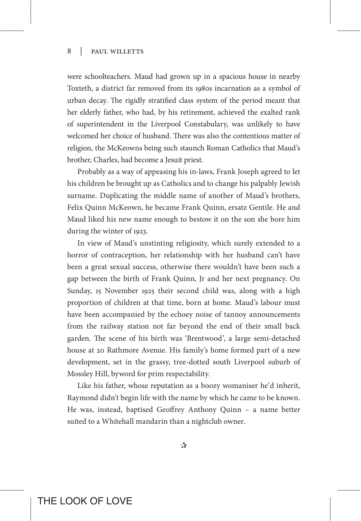were schoolteachers. Maud had grown up in a spacious house in nearby Toxteth, a district far removed from its 1980s incarnation as a symbol of urban decay. The rigidly stratified class system of the period meant that her elderly father, who had, by his retirement, achieved the exalted rank of superintendent in the Liverpool Constabulary, was unlikely to have welcomed her choice of husband. There was also the contentious matter of religion, the McKeowns being such staunch Roman Catholics that Maud's brother, Charles, had become a Jesuit priest.

Probably as a way of appeasing his in-laws, Frank Joseph agreed to let his children be brought up as Catholics and to change his palpably Jewish surname. Duplicating the middle name of another of Maud's brothers, Felix Quinn McKeown, he became Frank Quinn, ersatz Gentile. He and Maud liked his new name enough to bestow it on the son she bore him during the winter of 1923.

In view of Maud's unstinting religiosity, which surely extended to a horror of contraception, her relationship with her husband can't have been a great sexual success, otherwise there wouldn't have been such a gap between the birth of Frank Quinn, Jr and her next pregnancy. On Sunday, 15 November 1925 their second child was, along with a high proportion of children at that time, born at home. Maud's labour must have been accompanied by the echoey noise of tannoy announcements from the railway station not far beyond the end of their small back garden. The scene of his birth was 'Brentwood', a large semi-detached house at 20 Rathmore Avenue. His family's home formed part of a new development, set in the grassy, tree-dotted south Liverpool suburb of Mossley Hill, byword for prim respectability.

Like his father, whose reputation as a boozy womaniser he'd inherit, Raymond didn't begin life with the name by which he came to be known. He was, instead, baptised Geoffrey Anthony Quinn - a name better suited to a Whitehall mandarin than a nightclub owner.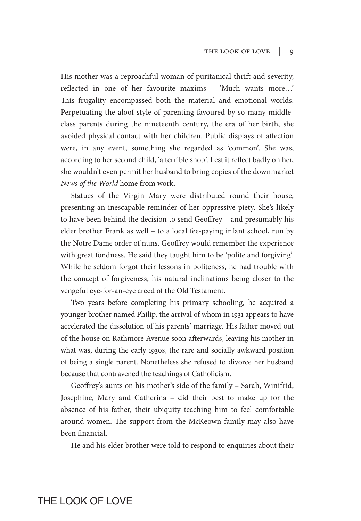His mother was a reproachful woman of puritanical thrift and severity, reflected in one of her favourite maxims – 'Much wants more...' This frugality encompassed both the material and emotional worlds. Perpetuating the aloof style of parenting favoured by so many middleclass parents during the nineteenth century, the era of her birth, she avoided physical contact with her children. Public displays of affection were, in any event, something she regarded as 'common'. She was, according to her second child, 'a terrible snob'. Lest it reflect badly on her, she wouldn't even permit her husband to bring copies of the downmarket *News of the World* home from work.

Statues of the Virgin Mary were distributed round their house, presenting an inescapable reminder of her oppressive piety. She's likely to have been behind the decision to send Geoffrey - and presumably his elder brother Frank as well – to a local fee-paying infant school, run by the Notre Dame order of nuns. Geoffrey would remember the experience with great fondness. He said they taught him to be 'polite and forgiving'. While he seldom forgot their lessons in politeness, he had trouble with the concept of forgiveness, his natural inclinations being closer to the vengeful eye-for-an-eye creed of the Old Testament.

Two years before completing his primary schooling, he acquired a younger brother named Philip, the arrival of whom in 1931 appears to have accelerated the dissolution of his parents' marriage. His father moved out of the house on Rathmore Avenue soon afterwards, leaving his mother in what was, during the early 1930s, the rare and socially awkward position of being a single parent. Nonetheless she refused to divorce her husband because that contravened the teachings of Catholicism.

Geoffrey's aunts on his mother's side of the family – Sarah, Winifrid, Josephine, Mary and Catherina – did their best to make up for the absence of his father, their ubiquity teaching him to feel comfortable around women. The support from the McKeown family may also have been financial.

He and his elder brother were told to respond to enquiries about their